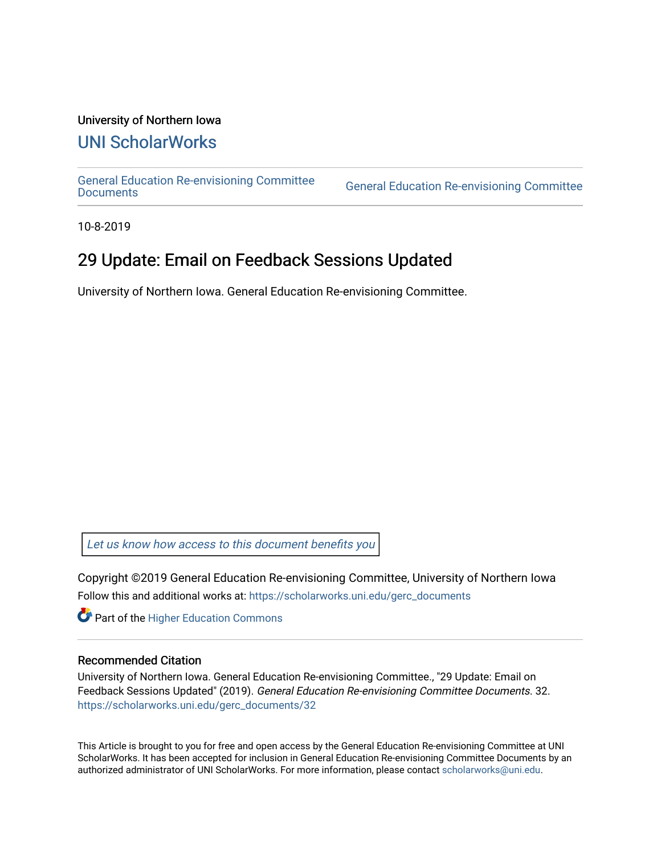#### University of Northern Iowa

## [UNI ScholarWorks](https://scholarworks.uni.edu/)

[General Education Re-envisioning Committee](https://scholarworks.uni.edu/gerc_documents) 

**General Education Re-envisioning Committee** 

10-8-2019

## 29 Update: Email on Feedback Sessions Updated

University of Northern Iowa. General Education Re-envisioning Committee.

[Let us know how access to this document benefits you](https://scholarworks.uni.edu/feedback_form.html) 

Copyright ©2019 General Education Re-envisioning Committee, University of Northern Iowa Follow this and additional works at: [https://scholarworks.uni.edu/gerc\\_documents](https://scholarworks.uni.edu/gerc_documents?utm_source=scholarworks.uni.edu%2Fgerc_documents%2F32&utm_medium=PDF&utm_campaign=PDFCoverPages)

**Part of the Higher Education Commons** 

#### Recommended Citation

University of Northern Iowa. General Education Re-envisioning Committee., "29 Update: Email on Feedback Sessions Updated" (2019). General Education Re-envisioning Committee Documents. 32. [https://scholarworks.uni.edu/gerc\\_documents/32](https://scholarworks.uni.edu/gerc_documents/32?utm_source=scholarworks.uni.edu%2Fgerc_documents%2F32&utm_medium=PDF&utm_campaign=PDFCoverPages) 

This Article is brought to you for free and open access by the General Education Re-envisioning Committee at UNI ScholarWorks. It has been accepted for inclusion in General Education Re-envisioning Committee Documents by an authorized administrator of UNI ScholarWorks. For more information, please contact [scholarworks@uni.edu.](mailto:scholarworks@uni.edu)